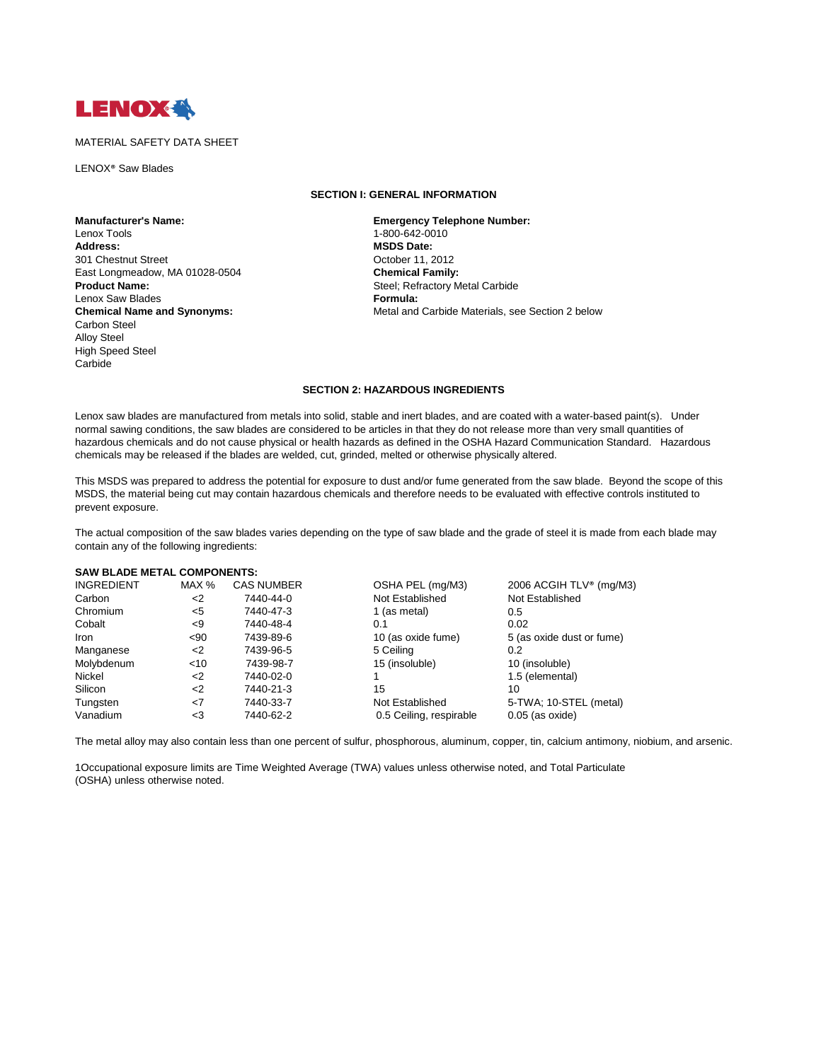

## MATERIAL SAFETY DATA SHEET

LENOX® Saw Blades

# **Manufacturer's Name: Emergency Telephone Number:**  Lenox Tools 1-800-642-0010 301 Chestnut Street Chestnut Street Consumer Consumer Consumer Consumer Consumer Chemical Family:<br>
Chemical Family: East Longmeadow, MA 01028-0504 **Product Name: Steel; Refractory Metal Carbide** Lenox Saw Blades **Formula:**  Carbon Steel Alloy Steel High Speed Steel Carbide

### **SECTION I: GENERAL INFORMATION**

**MSDS Date:**<br>October 11, 2012 **Chemical Name and Synonyms: Metal and Carbide Materials, see Section 2 below** Metal and Carbide Materials, see Section 2 below

# **SECTION 2: HAZARDOUS INGREDIENTS**

Lenox saw blades are manufactured from metals into solid, stable and inert blades, and are coated with a water-based paint(s). Under normal sawing conditions, the saw blades are considered to be articles in that they do not release more than very small quantities of hazardous chemicals and do not cause physical or health hazards as defined in the OSHA Hazard Communication Standard. Hazardous chemicals may be released if the blades are welded, cut, grinded, melted or otherwise physically altered.

This MSDS was prepared to address the potential for exposure to dust and/or fume generated from the saw blade. Beyond the scope of this MSDS, the material being cut may contain hazardous chemicals and therefore needs to be evaluated with effective controls instituted to prevent exposure.

The actual composition of the saw blades varies depending on the type of saw blade and the grade of steel it is made from each blade may contain any of the following ingredients:

#### **SAW BLADE METAL COMPONENTS:**

| <b>INGREDIENT</b> | MAX %  | <b>CAS NUMBER</b> | OSHA PEL (mg/M3)        | 2006 ACGIH TLV <sup>®</sup> (mg/M3) |
|-------------------|--------|-------------------|-------------------------|-------------------------------------|
| Carbon            | <2     | 7440-44-0         | Not Established         | Not Established                     |
| Chromium          | <5     | 7440-47-3         | 1 (as metal)            | 0.5                                 |
| Cobalt            | -9     | 7440-48-4         | 0.1                     | 0.02                                |
| Iron              | $90$   | 7439-89-6         | 10 (as oxide fume)      | 5 (as oxide dust or fume)           |
| Manganese         | $<$ 2  | 7439-96-5         | 5 Ceiling               | 0.2                                 |
| Molybdenum        | $<$ 10 | 7439-98-7         | 15 (insoluble)          | 10 (insoluble)                      |
| Nickel            | <2     | 7440-02-0         |                         | 1.5 (elemental)                     |
| Silicon           | <2     | 7440-21-3         | 15                      | 10                                  |
| Tungsten          | <7     | 7440-33-7         | Not Established         | 5-TWA; 10-STEL (metal)              |
| Vanadium          | <3     | 7440-62-2         | 0.5 Ceiling, respirable | $0.05$ (as oxide)                   |

The metal alloy may also contain less than one percent of sulfur, phosphorous, aluminum, copper, tin, calcium antimony, niobium, and arsenic.

1Occupational exposure limits are Time Weighted Average (TWA) values unless otherwise noted, and Total Particulate (OSHA) unless otherwise noted.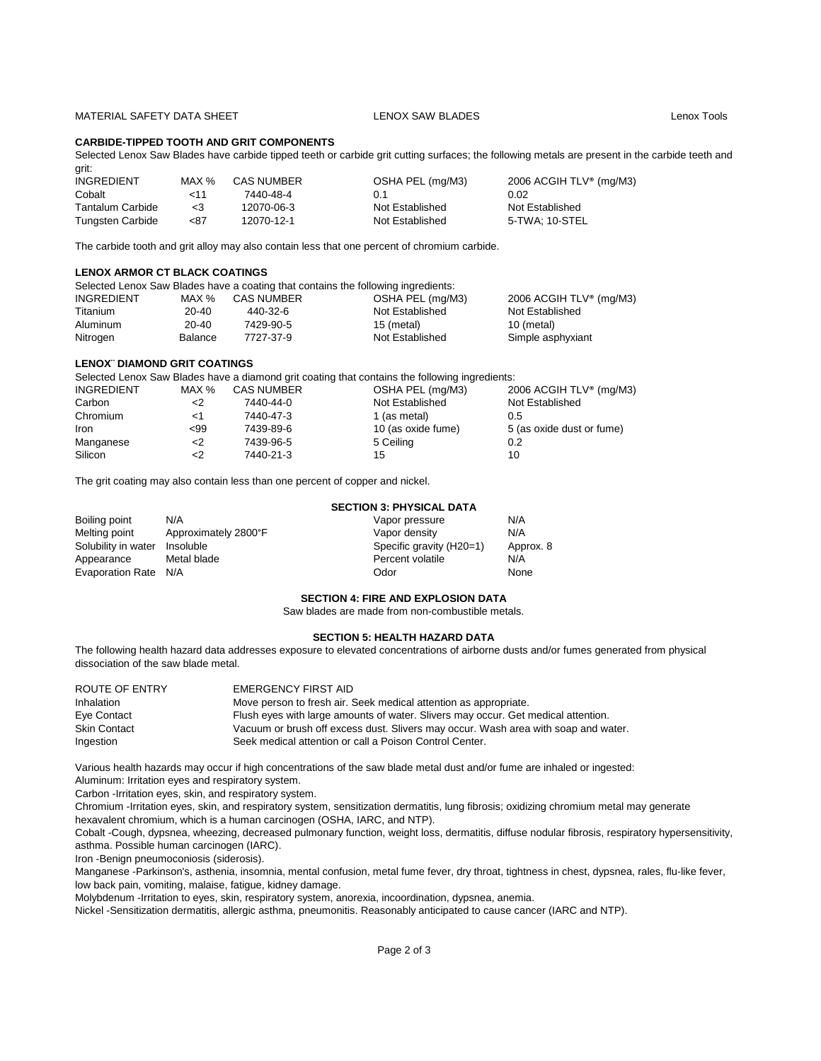## MATERIAL SAFETY DATA SHEET LENOX SAW BLADES LENOX SAW BLADES

## **CARBIDE-TIPPED TOOTH AND GRIT COMPONENTS**

Selected Lenox Saw Blades have carbide tipped teeth or carbide grit cutting surfaces; the following metals are present in the carbide teeth and grit:

| <b>INGREDIENT</b>       | MAX %    | CAS NUMBER | OSHA PEL (mg/M3) | 2006 ACGIH TLV® (mg/M3) |
|-------------------------|----------|------------|------------------|-------------------------|
| Cobalt                  | 11ح      | 7440-48-4  | 0.1              | 0.02                    |
| <b>Tantalum Carbide</b> | $\leq$ 3 | 12070-06-3 | Not Established  | Not Established         |
| <b>Tungsten Carbide</b> | <87      | 12070-12-1 | Not Established  | 5-TWA: 10-STEL          |

The carbide tooth and grit alloy may also contain less that one percent of chromium carbide.

## **LENOX ARMOR CT BLACK COATINGS**

| Selected Lenox Saw Blades have a coating that contains the following ingredients: |                |                   |                  |                         |
|-----------------------------------------------------------------------------------|----------------|-------------------|------------------|-------------------------|
| <b>INGREDIENT</b>                                                                 | MAX %          | <b>CAS NUMBER</b> | OSHA PEL (mg/M3) | 2006 ACGIH TLV® (mg/M3) |
| Titanium                                                                          | 20-40          | 440-32-6          | Not Established  | Not Established         |
| Aluminum                                                                          | $20 - 40$      | 7429-90-5         | 15 (metal)       | 10 (metal)              |
| Nitrogen                                                                          | <b>Balance</b> | 7727-37-9         | Not Established  | Simple asphyxiant       |

## **LENOX¨ DIAMOND GRIT COATINGS**

Selected Lenox Saw Blades have a diamond grit coating that contains the following ingredients:

| INGREDIENT | MAX $%$ | <b>CAS NUMBER</b> | OSHA PEL (mg/M3)   | 2006 ACGIH TLV® (mg/M3)   |
|------------|---------|-------------------|--------------------|---------------------------|
| Carbon     | <2      | 7440-44-0         | Not Established    | Not Established           |
| Chromium   | <1      | 7440-47-3         | 1 (as metal)       | 0.5                       |
| Iron       | $99$    | 7439-89-6         | 10 (as oxide fume) | 5 (as oxide dust or fume) |
| Manganese  | <2      | 7439-96-5         | 5 Ceiling          | 0.2                       |
| Silicon    | <2      | 7440-21-3         | 15                 | 10                        |

The grit coating may also contain less than one percent of copper and nickel.

|                      | <b>SECTION 3: PHYSICAL DATA</b> |                          |           |  |
|----------------------|---------------------------------|--------------------------|-----------|--|
| Boiling point        | N/A                             | Vapor pressure           | N/A       |  |
| Melting point        | Approximately 2800°F            | Vapor density            | N/A       |  |
| Solubility in water  | Insoluble                       | Specific gravity (H20=1) | Approx. 8 |  |
| Appearance           | Metal blade                     | Percent volatile         | N/A       |  |
| Evaporation Rate N/A |                                 | Odor                     | None      |  |

## **SECTION 4: FIRE AND EXPLOSION DATA**

Saw blades are made from non-combustible metals.

## **SECTION 5: HEALTH HAZARD DATA**

The following health hazard data addresses exposure to elevated concentrations of airborne dusts and/or fumes generated from physical dissociation of the saw blade metal.

| ROUTE OF ENTRY      | EMERGENCY FIRST AID                                                                |
|---------------------|------------------------------------------------------------------------------------|
| <b>Inhalation</b>   | Move person to fresh air. Seek medical attention as appropriate.                   |
| Eye Contact         | Flush eyes with large amounts of water. Slivers may occur. Get medical attention.  |
| <b>Skin Contact</b> | Vacuum or brush off excess dust. Slivers may occur. Wash area with soap and water. |
| Ingestion           | Seek medical attention or call a Poison Control Center.                            |

Various health hazards may occur if high concentrations of the saw blade metal dust and/or fume are inhaled or ingested: Aluminum: Irritation eyes and respiratory system.

Carbon -Irritation eyes, skin, and respiratory system.

Chromium -Irritation eyes, skin, and respiratory system, sensitization dermatitis, lung fibrosis; oxidizing chromium metal may generate hexavalent chromium, which is a human carcinogen (OSHA, IARC, and NTP).

Cobalt -Cough, dypsnea, wheezing, decreased pulmonary function, weight loss, dermatitis, diffuse nodular fibrosis, respiratory hypersensitivity, asthma. Possible human carcinogen (IARC).

Iron -Benign pneumoconiosis (siderosis).

Manganese -Parkinson's, asthenia, insomnia, mental confusion, metal fume fever, dry throat, tightness in chest, dypsnea, rales, flu-like fever, low back pain, vomiting, malaise, fatigue, kidney damage.

Molybdenum -Irritation to eyes, skin, respiratory system, anorexia, incoordination, dypsnea, anemia.

Nickel -Sensitization dermatitis, allergic asthma, pneumonitis. Reasonably anticipated to cause cancer (IARC and NTP).